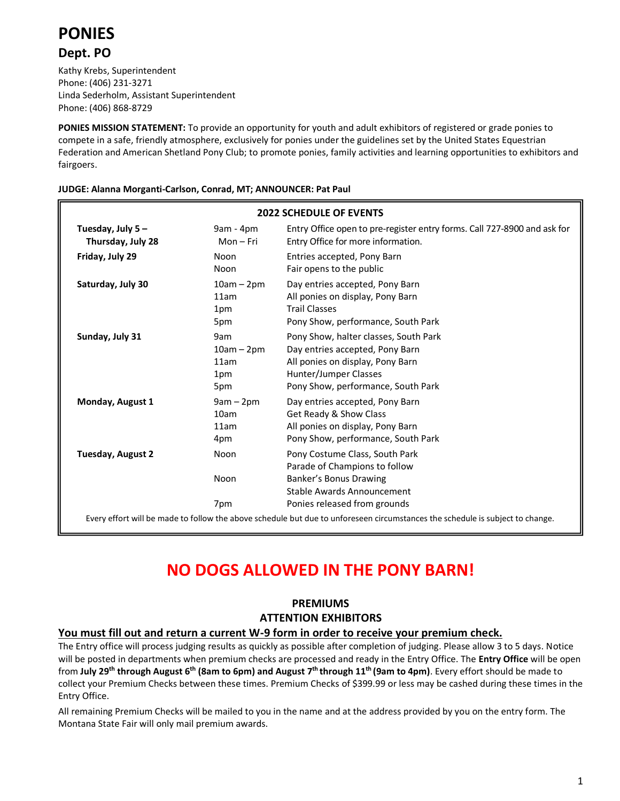

## **Dept. PO**

Kathy Krebs, Superintendent Phone: (406) 231-3271 Linda Sederholm, Assistant Superintendent Phone: (406) 868-8729

**PONIES MISSION STATEMENT:** To provide an opportunity for youth and adult exhibitors of registered or grade ponies to compete in a safe, friendly atmosphere, exclusively for ponies under the guidelines set by the United States Equestrian Federation and American Shetland Pony Club; to promote ponies, family activities and learning opportunities to exhibitors and fairgoers.

#### **JUDGE: Alanna Morganti-Carlson, Conrad, MT; ANNOUNCER: Pat Paul**

| <b>2022 SCHEDULE OF EVENTS</b>                                                                                                                                       |                                           |                                                                                                                                                                             |  |
|----------------------------------------------------------------------------------------------------------------------------------------------------------------------|-------------------------------------------|-----------------------------------------------------------------------------------------------------------------------------------------------------------------------------|--|
| Tuesday, July 5-<br>Thursday, July 28                                                                                                                                | $9am - 4pm$<br>$Mon-Fri$                  | Entry Office open to pre-register entry forms. Call 727-8900 and ask for<br>Entry Office for more information.                                                              |  |
| Friday, July 29                                                                                                                                                      | Noon<br>Noon                              | Entries accepted, Pony Barn<br>Fair opens to the public                                                                                                                     |  |
| Saturday, July 30                                                                                                                                                    | $10am - 2pm$<br>11am<br>1pm<br>5pm        | Day entries accepted, Pony Barn<br>All ponies on display, Pony Barn<br><b>Trail Classes</b><br>Pony Show, performance, South Park                                           |  |
| Sunday, July 31                                                                                                                                                      | 9am<br>$10am - 2pm$<br>11am<br>1pm<br>5pm | Pony Show, halter classes, South Park<br>Day entries accepted, Pony Barn<br>All ponies on display, Pony Barn<br>Hunter/Jumper Classes<br>Pony Show, performance, South Park |  |
| Monday, August 1                                                                                                                                                     | $9am - 2pm$<br>10am<br>11am<br>4pm        | Day entries accepted, Pony Barn<br>Get Ready & Show Class<br>All ponies on display, Pony Barn<br>Pony Show, performance, South Park                                         |  |
| Tuesday, August 2                                                                                                                                                    | Noon<br>Noon                              | Pony Costume Class, South Park<br>Parade of Champions to follow<br>Banker's Bonus Drawing<br>Stable Awards Announcement                                                     |  |
| Ponies released from grounds<br>7pm<br>Every effort will be made to follow the above schedule but due to unforeseen circumstances the schedule is subject to change. |                                           |                                                                                                                                                                             |  |

# **NO DOGS ALLOWED IN THE PONY BARN!**

## **PREMIUMS ATTENTION EXHIBITORS**

#### **You must fill out and return a current W-9 form in order to receive your premium check.**

The Entry office will process judging results as quickly as possible after completion of judging. Please allow 3 to 5 days. Notice will be posted in departments when premium checks are processed and ready in the Entry Office. The **Entry Office** will be open from **July 29th through August 6 th (8am to 6pm) and August 7 th through 11 th (9am to 4pm)**. Every effort should be made to collect your Premium Checks between these times. Premium Checks of \$399.99 or less may be cashed during these times in the Entry Office.

All remaining Premium Checks will be mailed to you in the name and at the address provided by you on the entry form. The Montana State Fair will only mail premium awards.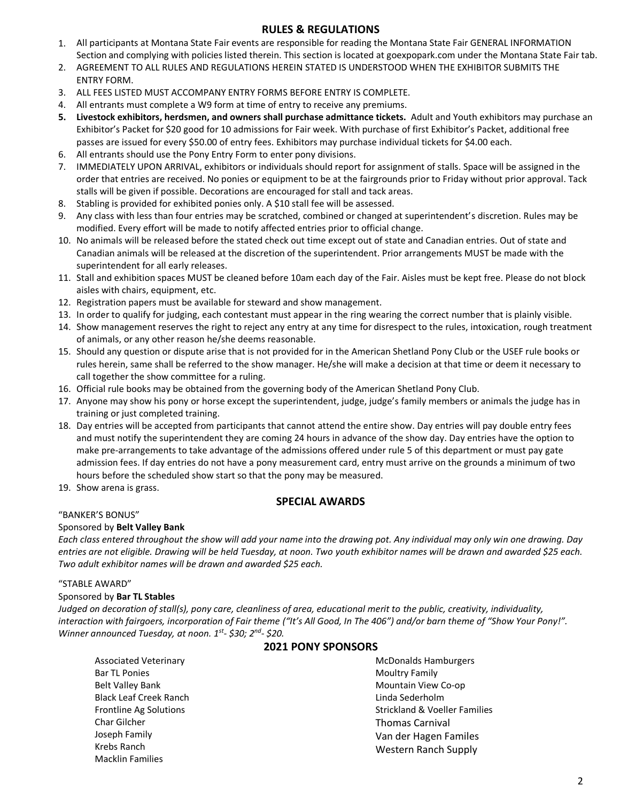#### **RULES & REGULATIONS**

- 1. All participants at Montana State Fair events are responsible for reading the Montana State Fair GENERAL INFORMATION Section and complying with policies listed therein. This section is located at goexpopark.com under the Montana State Fair tab.
- 2. AGREEMENT TO ALL RULES AND REGULATIONS HEREIN STATED IS UNDERSTOOD WHEN THE EXHIBITOR SUBMITS THE ENTRY FORM.
- 3. ALL FEES LISTED MUST ACCOMPANY ENTRY FORMS BEFORE ENTRY IS COMPLETE.
- 4. All entrants must complete a W9 form at time of entry to receive any premiums.
- **5. Livestock exhibitors, herdsmen, and owners shall purchase admittance tickets.** Adult and Youth exhibitors may purchase an Exhibitor's Packet for \$20 good for 10 admissions for Fair week. With purchase of first Exhibitor's Packet, additional free passes are issued for every \$50.00 of entry fees. Exhibitors may purchase individual tickets for \$4.00 each.
- 6. All entrants should use the Pony Entry Form to enter pony divisions.
- 7. IMMEDIATELY UPON ARRIVAL, exhibitors or individuals should report for assignment of stalls. Space will be assigned in the order that entries are received. No ponies or equipment to be at the fairgrounds prior to Friday without prior approval. Tack stalls will be given if possible. Decorations are encouraged for stall and tack areas.
- 8. Stabling is provided for exhibited ponies only. A \$10 stall fee will be assessed.
- 9. Any class with less than four entries may be scratched, combined or changed at superintendent's discretion. Rules may be modified. Every effort will be made to notify affected entries prior to official change.
- 10. No animals will be released before the stated check out time except out of state and Canadian entries. Out of state and Canadian animals will be released at the discretion of the superintendent. Prior arrangements MUST be made with the superintendent for all early releases.
- 11. Stall and exhibition spaces MUST be cleaned before 10am each day of the Fair. Aisles must be kept free. Please do not block aisles with chairs, equipment, etc.
- 12. Registration papers must be available for steward and show management.
- 13. In order to qualify for judging, each contestant must appear in the ring wearing the correct number that is plainly visible.
- 14. Show management reserves the right to reject any entry at any time for disrespect to the rules, intoxication, rough treatment of animals, or any other reason he/she deems reasonable.
- 15. Should any question or dispute arise that is not provided for in the American Shetland Pony Club or the USEF rule books or rules herein, same shall be referred to the show manager. He/she will make a decision at that time or deem it necessary to call together the show committee for a ruling.
- 16. Official rule books may be obtained from the governing body of the American Shetland Pony Club.
- 17. Anyone may show his pony or horse except the superintendent, judge, judge's family members or animals the judge has in training or just completed training.
- 18. Day entries will be accepted from participants that cannot attend the entire show. Day entries will pay double entry fees and must notify the superintendent they are coming 24 hours in advance of the show day. Day entries have the option to make pre-arrangements to take advantage of the admissions offered under rule 5 of this department or must pay gate admission fees. If day entries do not have a pony measurement card, entry must arrive on the grounds a minimum of two hours before the scheduled show start so that the pony may be measured.
- 19. Show arena is grass.

## **SPECIAL AWARDS**

"BANKER'S BONUS"

#### Sponsored by **Belt Valley Bank**

*Each class entered throughout the show will add your name into the drawing pot. Any individual may only win one drawing. Day entries are not eligible. Drawing will be held Tuesday, at noon. Two youth exhibitor names will be drawn and awarded \$25 each. Two adult exhibitor names will be drawn and awarded \$25 each.*

#### "STABLE AWARD"

#### Sponsored by **Bar TL Stables**

Macklin Families

*Judged on decoration of stall(s), pony care, cleanliness of area, educational merit to the public, creativity, individuality, interaction with fairgoers, incorporation of Fair theme ("It's All Good, In The 406") and/or barn theme of "Show Your Pony!". Winner announced Tuesday, at noon. 1st - \$30; 2nd - \$20.*

#### **2021 PONY SPONSORS**

| <b>Associated Veterinary</b>  | <b>McDonalds Hamburgers</b>              |
|-------------------------------|------------------------------------------|
| <b>Bar TL Ponies</b>          | <b>Moultry Family</b>                    |
| <b>Belt Valley Bank</b>       | Mountain View Co-op                      |
| <b>Black Leaf Creek Ranch</b> | Linda Sederholm                          |
| <b>Frontline Ag Solutions</b> | <b>Strickland &amp; Voeller Families</b> |
| <b>Char Gilcher</b>           | <b>Thomas Carnival</b>                   |
| Joseph Family                 | Van der Hagen Familes                    |
| Krebs Ranch                   | <b>Western Ranch Supply</b>              |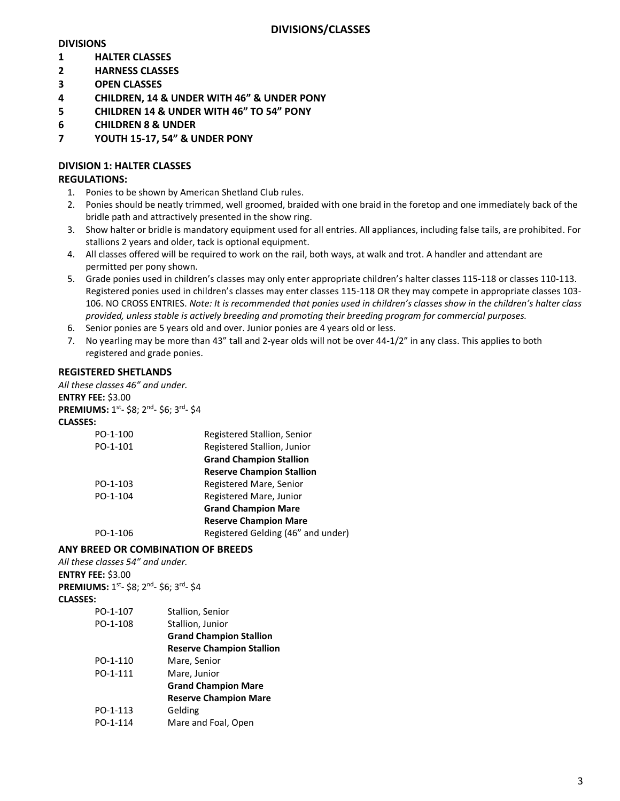## **DIVISIONS**

- **1 HALTER CLASSES**
- **2 HARNESS CLASSES**
- **3 OPEN CLASSES**
- **4 CHILDREN, 14 & UNDER WITH 46" & UNDER PONY**
- **5 CHILDREN 14 & UNDER WITH 46" TO 54" PONY**
- **6 CHILDREN 8 & UNDER**
- **7 YOUTH 15-17, 54" & UNDER PONY**

## **DIVISION 1: HALTER CLASSES**

### **REGULATIONS:**

- 1. Ponies to be shown by American Shetland Club rules.
- 2. Ponies should be neatly trimmed, well groomed, braided with one braid in the foretop and one immediately back of the bridle path and attractively presented in the show ring.
- 3. Show halter or bridle is mandatory equipment used for all entries. All appliances, including false tails, are prohibited. For stallions 2 years and older, tack is optional equipment.
- 4. All classes offered will be required to work on the rail, both ways, at walk and trot. A handler and attendant are permitted per pony shown.
- 5. Grade ponies used in children's classes may only enter appropriate children's halter classes 115-118 or classes 110-113. Registered ponies used in children's classes may enter classes 115-118 OR they may compete in appropriate classes 103- 106. NO CROSS ENTRIES. *Note: It is recommended that ponies used in children's classes show in the children's halter class provided, unless stable is actively breeding and promoting their breeding program for commercial purposes.*
- 6. Senior ponies are 5 years old and over. Junior ponies are 4 years old or less.
- 7. No yearling may be more than 43" tall and 2-year olds will not be over 44-1/2" in any class. This applies to both registered and grade ponies.

#### **REGISTERED SHETLANDS**

*All these classes 46" and under.*

**ENTRY FEE:** \$3.00 PREMIUMS: 1<sup>st</sup>- \$8; 2<sup>nd</sup>- \$6; 3<sup>rd</sup>- \$4 **CLASSES:** PO-1-100 Registered Stallion, Senior

| PO-1-100 | Registered Stallion, Senior        |
|----------|------------------------------------|
| PO-1-101 | Registered Stallion, Junior        |
|          | <b>Grand Champion Stallion</b>     |
|          | <b>Reserve Champion Stallion</b>   |
| PO-1-103 | Registered Mare, Senior            |
| PO-1-104 | Registered Mare, Junior            |
|          | <b>Grand Champion Mare</b>         |
|          | <b>Reserve Champion Mare</b>       |
| PO-1-106 | Registered Gelding (46" and under) |

#### **ANY BREED OR COMBINATION OF BREEDS**

*All these classes 54" and under.* **ENTRY FEE:** \$3.00 PREMIUMS: 1<sup>st</sup>- \$8; 2<sup>nd</sup>- \$6; 3<sup>rd</sup>- \$4 **CLASSES:**

| PO-1-107 | Stallion, Senior                 |
|----------|----------------------------------|
| PO-1-108 | Stallion, Junior                 |
|          | <b>Grand Champion Stallion</b>   |
|          | <b>Reserve Champion Stallion</b> |
| PO-1-110 | Mare, Senior                     |
| PO-1-111 | Mare, Junior                     |
|          | <b>Grand Champion Mare</b>       |
|          | <b>Reserve Champion Mare</b>     |
| PO-1-113 | Gelding                          |
| PO-1-114 | Mare and Foal, Open              |
|          |                                  |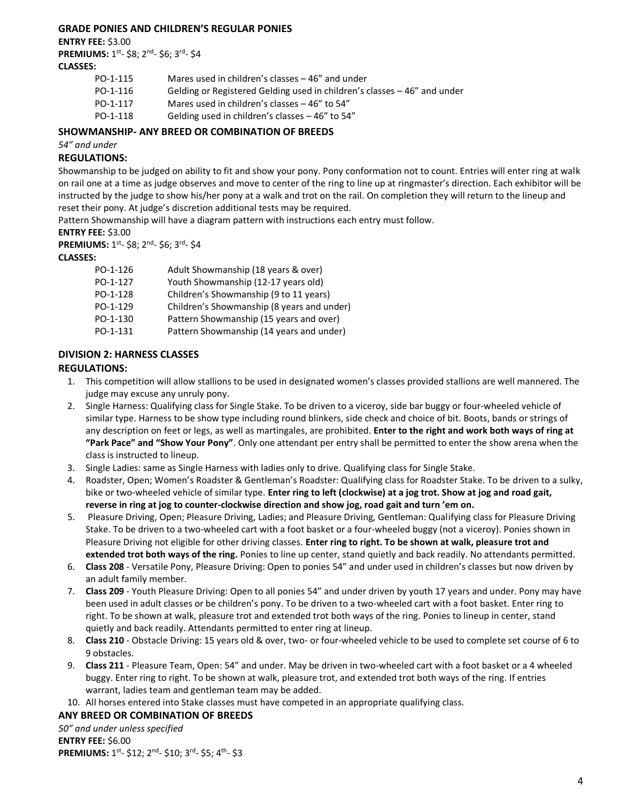#### **GRADE PONIES AND CHILDREN'S REGULAR PONIES**

**ENTRY FEE:** \$3.00

PREMIUMS: 1<sup>st</sup>- \$8; 2<sup>nd</sup>- \$6; 3<sup>rd</sup>- \$4 **CLASSES:**

PO-1-115 Mares used in children's classes – 46" and under PO-1-116 Gelding or Registered Gelding used in children's classes – 46" and under PO-1-117 Mares used in children's classes – 46" to 54" PO-1-118 Gelding used in children's classes – 46" to 54"

## **SHOWMANSHIP- ANY BREED OR COMBINATION OF BREEDS**

*54" and under*

## **REGULATIONS:**

Showmanship to be judged on ability to fit and show your pony. Pony conformation not to count. Entries will enter ring at walk on rail one at a time as judge observes and move to center of the ring to line up at ringmaster's direction. Each exhibitor will be instructed by the judge to show his/her pony at a walk and trot on the rail. On completion they will return to the lineup and reset their pony. At judge's discretion additional tests may be required.

Pattern Showmanship will have a diagram pattern with instructions each entry must follow.

#### **ENTRY FEE:** \$3.00

PREMIUMS: 1<sup>st</sup>- \$8; 2<sup>nd</sup>- \$6; 3<sup>rd</sup>- \$4

#### **CLASSES:**

| PO-1-126 | Adult Showmanship (18 years & over)        |
|----------|--------------------------------------------|
| PO-1-127 | Youth Showmanship (12-17 years old)        |
| PO-1-128 | Children's Showmanship (9 to 11 years)     |
| PO-1-129 | Children's Showmanship (8 years and under) |
| PO-1-130 | Pattern Showmanship (15 years and over)    |
| PO-1-131 | Pattern Showmanship (14 years and under)   |

## **DIVISION 2: HARNESS CLASSES**

## **REGULATIONS:**

- 1. This competition will allow stallions to be used in designated women's classes provided stallions are well mannered. The judge may excuse any unruly pony.
- 2. Single Harness: Qualifying class for Single Stake. To be driven to a viceroy, side bar buggy or four-wheeled vehicle of similar type. Harness to be show type including round blinkers, side check and choice of bit. Boots, bands or strings of any description on feet or legs, as well as martingales, are prohibited. **Enter to the right and work both ways of ring at "Park Pace" and "Show Your Pony"**. Only one attendant per entry shall be permitted to enter the show arena when the class is instructed to lineup.
- 3. Single Ladies: same as Single Harness with ladies only to drive. Qualifying class for Single Stake.
- 4. Roadster, Open; Women's Roadster & Gentleman's Roadster: Qualifying class for Roadster Stake. To be driven to a sulky, bike or two-wheeled vehicle of similar type. **Enter ring to left (clockwise) at a jog trot. Show at jog and road gait, reverse in ring at jog to counter-clockwise direction and show jog, road gait and turn 'em on.**
- 5. Pleasure Driving, Open; Pleasure Driving, Ladies; and Pleasure Driving, Gentleman: Qualifying class for Pleasure Driving Stake. To be driven to a two-wheeled cart with a foot basket or a four-wheeled buggy (not a viceroy). Ponies shown in Pleasure Driving not eligible for other driving classes. **Enter ring to right. To be shown at walk, pleasure trot and extended trot both ways of the ring.** Ponies to line up center, stand quietly and back readily. No attendants permitted.
- 6. **Class 208** Versatile Pony, Pleasure Driving: Open to ponies 54" and under used in children's classes but now driven by an adult family member.
- 7. **Class 209** Youth Pleasure Driving: Open to all ponies 54" and under driven by youth 17 years and under. Pony may have been used in adult classes or be children's pony. To be driven to a two-wheeled cart with a foot basket. Enter ring to right. To be shown at walk, pleasure trot and extended trot both ways of the ring. Ponies to lineup in center, stand quietly and back readily. Attendants permitted to enter ring at lineup.
- 8. **Class 210** Obstacle Driving: 15 years old & over, two- or four-wheeled vehicle to be used to complete set course of 6 to 9 obstacles.
- 9. **Class 211** Pleasure Team, Open: 54" and under. May be driven in two-wheeled cart with a foot basket or a 4 wheeled buggy. Enter ring to right. To be shown at walk, pleasure trot, and extended trot both ways of the ring. If entries warrant, ladies team and gentleman team may be added.
- 10. All horses entered into Stake classes must have competed in an appropriate qualifying class.

#### **ANY BREED OR COMBINATION OF BREEDS**

*50" and under unless specified* **ENTRY FEE:** \$6.00 **PREMIUMS:** 1<sup>st</sup>- \$12; 2<sup>nd</sup>- \$10; 3<sup>rd</sup>- \$5; 4<sup>th</sup>- \$3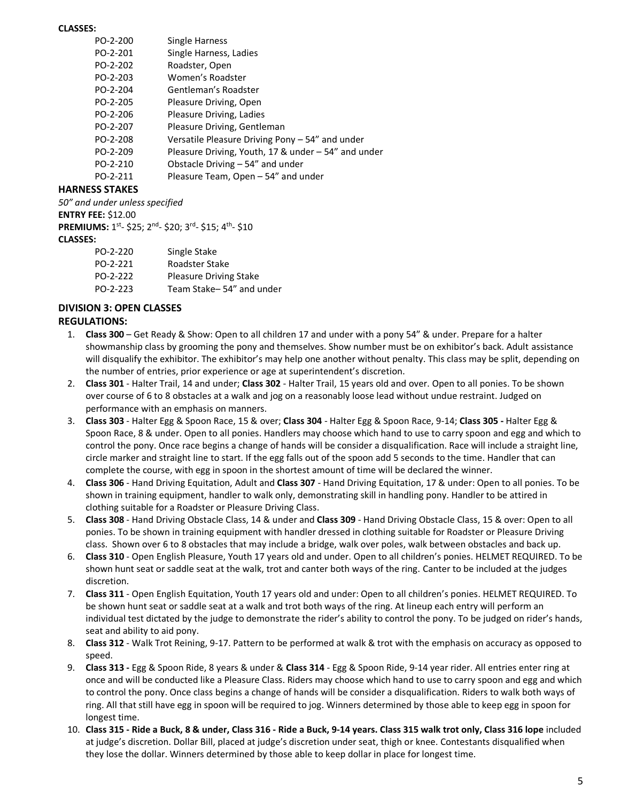#### **CLASSES:**

| PO-2-200 | Single Harness                                      |
|----------|-----------------------------------------------------|
| PO-2-201 | Single Harness, Ladies                              |
| PO-2-202 | Roadster, Open                                      |
| PO-2-203 | Women's Roadster                                    |
| PO-2-204 | Gentleman's Roadster                                |
| PO-2-205 | Pleasure Driving, Open                              |
| PO-2-206 | Pleasure Driving, Ladies                            |
| PO-2-207 | Pleasure Driving, Gentleman                         |
| PO-2-208 | Versatile Pleasure Driving Pony - 54" and under     |
| PO-2-209 | Pleasure Driving, Youth, 17 & under – 54" and under |
| PO-2-210 | Obstacle Driving $-54$ " and under                  |
| PO-2-211 | Pleasure Team, Open - 54" and under                 |
|          |                                                     |

## **HARNESS STAKES**

*50" and under unless specified*

**ENTRY FEE:** \$12.00

| <b>PREMIUMS:</b> 1 <sup>st</sup> -\$25; 2 <sup>nd</sup> -\$20; 3 <sup>rd</sup> -\$15; 4 <sup>th</sup> -\$10 |                               |
|-------------------------------------------------------------------------------------------------------------|-------------------------------|
| <b>CLASSES:</b>                                                                                             |                               |
| PO-2-220                                                                                                    | Single Stake                  |
| PO-2-221                                                                                                    | Roadster Stake                |
| PO-2-222                                                                                                    | <b>Pleasure Driving Stake</b> |
| PO-2-223                                                                                                    | Team Stake-54" and under      |

#### **DIVISION 3: OPEN CLASSES**

#### **REGULATIONS:**

- 1. **Class 300** Get Ready & Show: Open to all children 17 and under with a pony 54" & under. Prepare for a halter showmanship class by grooming the pony and themselves. Show number must be on exhibitor's back. Adult assistance will disqualify the exhibitor. The exhibitor's may help one another without penalty. This class may be split, depending on the number of entries, prior experience or age at superintendent's discretion.
- 2. **Class 301** Halter Trail, 14 and under; **Class 302** Halter Trail, 15 years old and over. Open to all ponies. To be shown over course of 6 to 8 obstacles at a walk and jog on a reasonably loose lead without undue restraint. Judged on performance with an emphasis on manners.
- 3. **Class 303** Halter Egg & Spoon Race, 15 & over; **Class 304** Halter Egg & Spoon Race, 9-14; **Class 305 -** Halter Egg & Spoon Race, 8 & under. Open to all ponies. Handlers may choose which hand to use to carry spoon and egg and which to control the pony. Once race begins a change of hands will be consider a disqualification. Race will include a straight line, circle marker and straight line to start. If the egg falls out of the spoon add 5 seconds to the time. Handler that can complete the course, with egg in spoon in the shortest amount of time will be declared the winner.
- 4. **Class 306** Hand Driving Equitation, Adult and **Class 307** Hand Driving Equitation, 17 & under: Open to all ponies. To be shown in training equipment, handler to walk only, demonstrating skill in handling pony. Handler to be attired in clothing suitable for a Roadster or Pleasure Driving Class.
- 5. **Class 308** Hand Driving Obstacle Class, 14 & under and **Class 309** Hand Driving Obstacle Class, 15 & over: Open to all ponies. To be shown in training equipment with handler dressed in clothing suitable for Roadster or Pleasure Driving class. Shown over 6 to 8 obstacles that may include a bridge, walk over poles, walk between obstacles and back up.
- 6. **Class 310** Open English Pleasure, Youth 17 years old and under. Open to all children's ponies. HELMET REQUIRED. To be shown hunt seat or saddle seat at the walk, trot and canter both ways of the ring. Canter to be included at the judges discretion.
- 7. **Class 311** Open English Equitation, Youth 17 years old and under: Open to all children's ponies. HELMET REQUIRED. To be shown hunt seat or saddle seat at a walk and trot both ways of the ring. At lineup each entry will perform an individual test dictated by the judge to demonstrate the rider's ability to control the pony. To be judged on rider's hands, seat and ability to aid pony.
- 8. **Class 312** Walk Trot Reining, 9-17. Pattern to be performed at walk & trot with the emphasis on accuracy as opposed to speed.
- 9. **Class 313 -** Egg & Spoon Ride, 8 years & under & **Class 314** Egg & Spoon Ride, 9-14 year rider. All entries enter ring at once and will be conducted like a Pleasure Class. Riders may choose which hand to use to carry spoon and egg and which to control the pony. Once class begins a change of hands will be consider a disqualification. Riders to walk both ways of ring. All that still have egg in spoon will be required to jog. Winners determined by those able to keep egg in spoon for longest time.
- 10. **Class 315 - Ride a Buck, 8 & under, Class 316 - Ride a Buck, 9-14 years. Class 315 walk trot only, Class 316 lope** included at judge's discretion. Dollar Bill, placed at judge's discretion under seat, thigh or knee. Contestants disqualified when they lose the dollar. Winners determined by those able to keep dollar in place for longest time.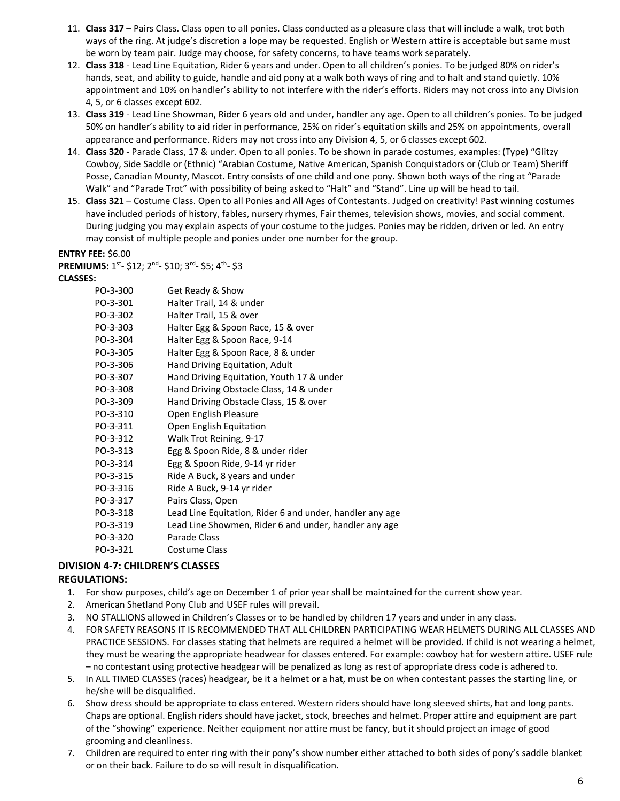- 11. **Class 317** Pairs Class. Class open to all ponies. Class conducted as a pleasure class that will include a walk, trot both ways of the ring. At judge's discretion a lope may be requested. English or Western attire is acceptable but same must be worn by team pair. Judge may choose, for safety concerns, to have teams work separately.
- 12. **Class 318** Lead Line Equitation, Rider 6 years and under. Open to all children's ponies. To be judged 80% on rider's hands, seat, and ability to guide, handle and aid pony at a walk both ways of ring and to halt and stand quietly. 10% appointment and 10% on handler's ability to not interfere with the rider's efforts. Riders may not cross into any Division 4, 5, or 6 classes except 602.
- 13. **Class 319** Lead Line Showman, Rider 6 years old and under, handler any age. Open to all children's ponies. To be judged 50% on handler's ability to aid rider in performance, 25% on rider's equitation skills and 25% on appointments, overall appearance and performance. Riders may not cross into any Division 4, 5, or 6 classes except 602.
- 14. **Class 320** Parade Class, 17 & under. Open to all ponies. To be shown in parade costumes, examples: (Type) "Glitzy Cowboy, Side Saddle or (Ethnic) "Arabian Costume, Native American, Spanish Conquistadors or (Club or Team) Sheriff Posse, Canadian Mounty, Mascot. Entry consists of one child and one pony. Shown both ways of the ring at "Parade Walk" and "Parade Trot" with possibility of being asked to "Halt" and "Stand". Line up will be head to tail.
- 15. **Class 321** Costume Class. Open to all Ponies and All Ages of Contestants. Judged on creativity! Past winning costumes have included periods of history, fables, nursery rhymes, Fair themes, television shows, movies, and social comment. During judging you may explain aspects of your costume to the judges. Ponies may be ridden, driven or led. An entry may consist of multiple people and ponies under one number for the group.

#### **ENTRY FEE:** \$6.00

**PREMIUMS:** 1<sup>st</sup>- \$12; 2<sup>nd</sup>- \$10; 3<sup>rd</sup>- \$5; 4<sup>th</sup>- \$3

#### **CLASSES:**

| PO-3-300 | Get Ready & Show                                         |
|----------|----------------------------------------------------------|
| PO-3-301 | Halter Trail, 14 & under                                 |
| PO-3-302 | Halter Trail, 15 & over                                  |
| PO-3-303 | Halter Egg & Spoon Race, 15 & over                       |
| PO-3-304 | Halter Egg & Spoon Race, 9-14                            |
| PO-3-305 | Halter Egg & Spoon Race, 8 & under                       |
| PO-3-306 | Hand Driving Equitation, Adult                           |
| PO-3-307 | Hand Driving Equitation, Youth 17 & under                |
| PO-3-308 | Hand Driving Obstacle Class, 14 & under                  |
| PO-3-309 | Hand Driving Obstacle Class, 15 & over                   |
| PO-3-310 | Open English Pleasure                                    |
| PO-3-311 | Open English Equitation                                  |
| PO-3-312 | Walk Trot Reining, 9-17                                  |
| PO-3-313 | Egg & Spoon Ride, 8 & under rider                        |
| PO-3-314 | Egg & Spoon Ride, 9-14 yr rider                          |
| PO-3-315 | Ride A Buck, 8 years and under                           |
| PO-3-316 | Ride A Buck, 9-14 yr rider                               |
| PO-3-317 | Pairs Class, Open                                        |
| PO-3-318 | Lead Line Equitation, Rider 6 and under, handler any age |
| PO-3-319 | Lead Line Showmen, Rider 6 and under, handler any age    |
| PO-3-320 | Parade Class                                             |
| PO-3-321 | Costume Class                                            |

# **DIVISION 4-7: CHILDREN'S CLASSES**

## **REGULATIONS:**

- 1. For show purposes, child's age on December 1 of prior year shall be maintained for the current show year.
- 2. American Shetland Pony Club and USEF rules will prevail.
- 3. NO STALLIONS allowed in Children's Classes or to be handled by children 17 years and under in any class.
- 4. FOR SAFETY REASONS IT IS RECOMMENDED THAT ALL CHILDREN PARTICIPATING WEAR HELMETS DURING ALL CLASSES AND PRACTICE SESSIONS. For classes stating that helmets are required a helmet will be provided. If child is not wearing a helmet, they must be wearing the appropriate headwear for classes entered. For example: cowboy hat for western attire. USEF rule – no contestant using protective headgear will be penalized as long as rest of appropriate dress code is adhered to.
- 5. In ALL TIMED CLASSES (races) headgear, be it a helmet or a hat, must be on when contestant passes the starting line, or he/she will be disqualified.
- 6. Show dress should be appropriate to class entered. Western riders should have long sleeved shirts, hat and long pants. Chaps are optional. English riders should have jacket, stock, breeches and helmet. Proper attire and equipment are part of the "showing" experience. Neither equipment nor attire must be fancy, but it should project an image of good grooming and cleanliness.
- 7. Children are required to enter ring with their pony's show number either attached to both sides of pony's saddle blanket or on their back. Failure to do so will result in disqualification.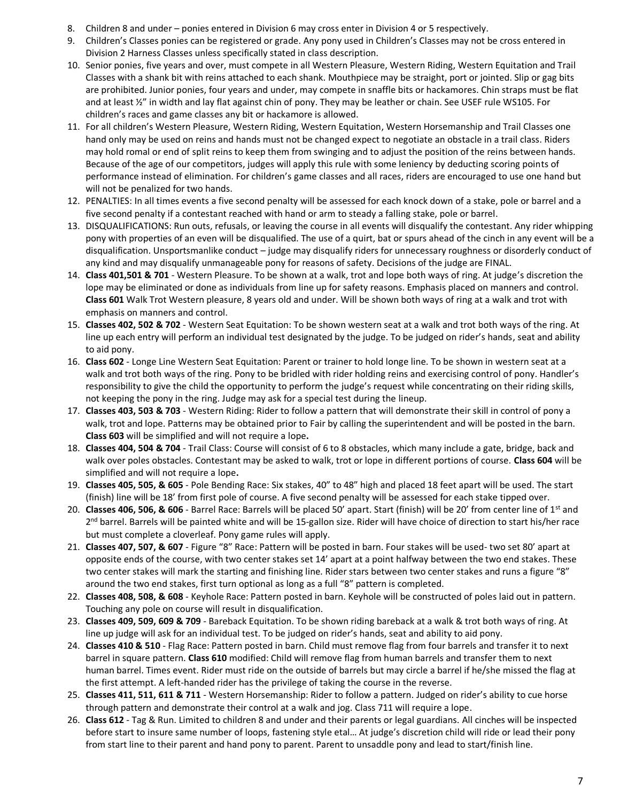- 8. Children 8 and under ponies entered in Division 6 may cross enter in Division 4 or 5 respectively.
- 9. Children's Classes ponies can be registered or grade. Any pony used in Children's Classes may not be cross entered in Division 2 Harness Classes unless specifically stated in class description.
- 10. Senior ponies, five years and over, must compete in all Western Pleasure, Western Riding, Western Equitation and Trail Classes with a shank bit with reins attached to each shank. Mouthpiece may be straight, port or jointed. Slip or gag bits are prohibited. Junior ponies, four years and under, may compete in snaffle bits or hackamores. Chin straps must be flat and at least  $\frac{y''}{10}$  in width and lay flat against chin of pony. They may be leather or chain. See USEF rule WS105. For children's races and game classes any bit or hackamore is allowed.
- 11. For all children's Western Pleasure, Western Riding, Western Equitation, Western Horsemanship and Trail Classes one hand only may be used on reins and hands must not be changed expect to negotiate an obstacle in a trail class. Riders may hold romal or end of split reins to keep them from swinging and to adjust the position of the reins between hands. Because of the age of our competitors, judges will apply this rule with some leniency by deducting scoring points of performance instead of elimination. For children's game classes and all races, riders are encouraged to use one hand but will not be penalized for two hands.
- 12. PENALTIES: In all times events a five second penalty will be assessed for each knock down of a stake, pole or barrel and a five second penalty if a contestant reached with hand or arm to steady a falling stake, pole or barrel.
- 13. DISQUALIFICATIONS: Run outs, refusals, or leaving the course in all events will disqualify the contestant. Any rider whipping pony with properties of an even will be disqualified. The use of a quirt, bat or spurs ahead of the cinch in any event will be a disqualification. Unsportsmanlike conduct – judge may disqualify riders for unnecessary roughness or disorderly conduct of any kind and may disqualify unmanageable pony for reasons of safety. Decisions of the judge are FINAL.
- 14. **Class 401,501 & 701** Western Pleasure. To be shown at a walk, trot and lope both ways of ring. At judge's discretion the lope may be eliminated or done as individuals from line up for safety reasons. Emphasis placed on manners and control. **Class 601** Walk Trot Western pleasure, 8 years old and under. Will be shown both ways of ring at a walk and trot with emphasis on manners and control.
- 15. **Classes 402, 502 & 702** Western Seat Equitation: To be shown western seat at a walk and trot both ways of the ring. At line up each entry will perform an individual test designated by the judge. To be judged on rider's hands, seat and ability to aid pony.
- 16. **Class 602** Longe Line Western Seat Equitation: Parent or trainer to hold longe line. To be shown in western seat at a walk and trot both ways of the ring. Pony to be bridled with rider holding reins and exercising control of pony. Handler's responsibility to give the child the opportunity to perform the judge's request while concentrating on their riding skills, not keeping the pony in the ring. Judge may ask for a special test during the lineup.
- 17. **Classes 403, 503 & 703** Western Riding: Rider to follow a pattern that will demonstrate their skill in control of pony a walk, trot and lope. Patterns may be obtained prior to Fair by calling the superintendent and will be posted in the barn. **Class 603** will be simplified and will not require a lope**.**
- 18. **Classes 404, 504 & 704** Trail Class: Course will consist of 6 to 8 obstacles, which many include a gate, bridge, back and walk over poles obstacles. Contestant may be asked to walk, trot or lope in different portions of course. **Class 604** will be simplified and will not require a lope**.**
- 19. **Classes 405, 505, & 605** Pole Bending Race: Six stakes, 40" to 48" high and placed 18 feet apart will be used. The start (finish) line will be 18' from first pole of course. A five second penalty will be assessed for each stake tipped over.
- 20. **Classes 406, 506, & 606** Barrel Race: Barrels will be placed 50' apart. Start (finish) will be 20' from center line of 1<sup>st</sup> and 2<sup>nd</sup> barrel. Barrels will be painted white and will be 15-gallon size. Rider will have choice of direction to start his/her race but must complete a cloverleaf. Pony game rules will apply.
- 21. **Classes 407, 507, & 607** Figure "8" Race: Pattern will be posted in barn. Four stakes will be used- two set 80' apart at opposite ends of the course, with two center stakes set 14' apart at a point halfway between the two end stakes. These two center stakes will mark the starting and finishing line. Rider stars between two center stakes and runs a figure "8" around the two end stakes, first turn optional as long as a full "8" pattern is completed.
- 22. **Classes 408, 508, & 608** Keyhole Race: Pattern posted in barn. Keyhole will be constructed of poles laid out in pattern. Touching any pole on course will result in disqualification.
- 23. **Classes 409, 509, 609 & 709** Bareback Equitation. To be shown riding bareback at a walk & trot both ways of ring. At line up judge will ask for an individual test. To be judged on rider's hands, seat and ability to aid pony.
- 24. **Classes 410 & 510** Flag Race: Pattern posted in barn. Child must remove flag from four barrels and transfer it to next barrel in square pattern. **Class 610** modified: Child will remove flag from human barrels and transfer them to next human barrel. Times event. Rider must ride on the outside of barrels but may circle a barrel if he/she missed the flag at the first attempt. A left-handed rider has the privilege of taking the course in the reverse.
- 25. **Classes 411, 511, 611 & 711** Western Horsemanship: Rider to follow a pattern. Judged on rider's ability to cue horse through pattern and demonstrate their control at a walk and jog. Class 711 will require a lope.
- 26. **Class 612** Tag & Run. Limited to children 8 and under and their parents or legal guardians. All cinches will be inspected before start to insure same number of loops, fastening style etal… At judge's discretion child will ride or lead their pony from start line to their parent and hand pony to parent. Parent to unsaddle pony and lead to start/finish line.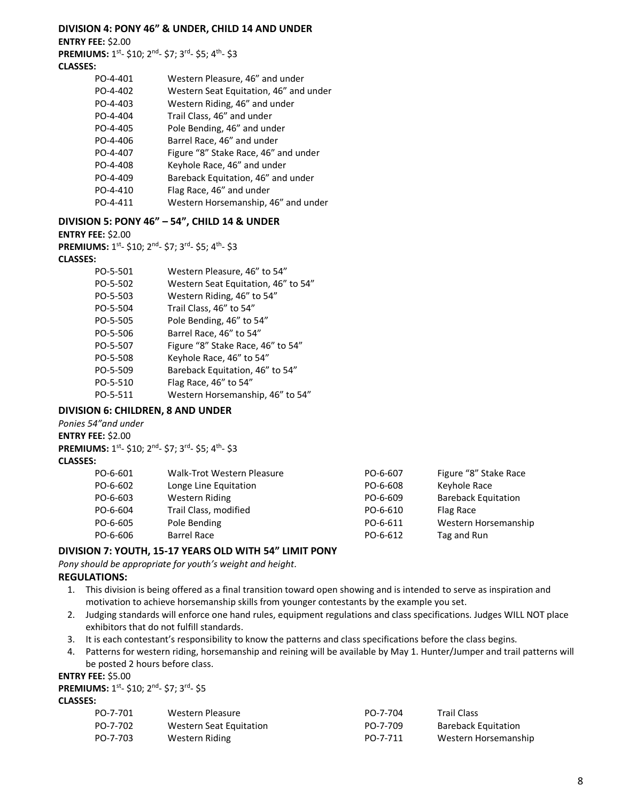#### **DIVISION 4: PONY 46" & UNDER, CHILD 14 AND UNDER**

**ENTRY FEE:** \$2.00

PREMIUMS: 1<sup>st</sup>- \$10; 2<sup>nd</sup>- \$7; 3<sup>rd</sup>- \$5; 4<sup>th</sup>- \$3

## **CLASSES:**

| PO-4-401 | Western Pleasure, 46" and under        |
|----------|----------------------------------------|
| PO-4-402 | Western Seat Equitation, 46" and under |
| PO-4-403 | Western Riding, 46" and under          |
| PO-4-404 | Trail Class, 46" and under             |
| PO-4-405 | Pole Bending, 46" and under            |
| PO-4-406 | Barrel Race, 46" and under             |
| PO-4-407 | Figure "8" Stake Race, 46" and under   |
| PO-4-408 | Keyhole Race, 46" and under            |
| PO-4-409 | Bareback Equitation, 46" and under     |
| PO-4-410 | Flag Race, 46" and under               |
| PO-4-411 | Western Horsemanship, 46" and under    |

#### **DIVISION 5: PONY 46" – 54", CHILD 14 & UNDER**

#### **ENTRY FEE:** \$2.00

**PREMIUMS:** 1<sup>st</sup>- \$10; 2<sup>nd</sup>- \$7; 3<sup>rd</sup>- \$5; 4<sup>th</sup>- \$3

#### **CLASSES:**

| PO-5-501 | Western Pleasure, 46" to 54"        |
|----------|-------------------------------------|
| PO-5-502 | Western Seat Equitation, 46" to 54" |
| PO-5-503 | Western Riding, 46" to 54"          |
| PO-5-504 | Trail Class, 46" to 54"             |
| PO-5-505 | Pole Bending, 46" to 54"            |
| PO-5-506 | Barrel Race, 46" to 54"             |
| PO-5-507 | Figure "8" Stake Race, 46" to 54"   |
| PO-5-508 | Keyhole Race, 46" to 54"            |
| PO-5-509 | Bareback Equitation, 46" to 54"     |
| PO-5-510 | Flag Race, 46" to 54"               |
| PO-5-511 | Western Horsemanship, 46" to 54"    |

#### **DIVISION 6: CHILDREN, 8 AND UNDER**

*Ponies 54"and under* **ENTRY FEE:** \$2.00 PREMIUMS: 1<sup>st</sup>- \$10; 2<sup>nd</sup>- \$7; 3<sup>rd</sup>- \$5; 4<sup>th</sup>- \$3

#### **CLASSES:**

| PO-6-601 | Walk-Trot Western Pleasure | PO-6-607 | Figure "8" Stake Race      |
|----------|----------------------------|----------|----------------------------|
| PO-6-602 | Longe Line Equitation      | PO-6-608 | Keyhole Race               |
| PO-6-603 | Western Riding             | PO-6-609 | <b>Bareback Equitation</b> |
| PO-6-604 | Trail Class, modified      | PO-6-610 | Flag Race                  |
| PO-6-605 | Pole Bending               | PO-6-611 | Western Horsemanship       |
| PO-6-606 | <b>Barrel Race</b>         | PO-6-612 | Tag and Run                |

### **DIVISION 7: YOUTH, 15-17 YEARS OLD WITH 54" LIMIT PONY**

*Pony should be appropriate for youth's weight and height.* 

#### **REGULATIONS:**

- 1. This division is being offered as a final transition toward open showing and is intended to serve as inspiration and motivation to achieve horsemanship skills from younger contestants by the example you set.
- 2. Judging standards will enforce one hand rules, equipment regulations and class specifications. Judges WILL NOT place exhibitors that do not fulfill standards.
- 3. It is each contestant's responsibility to know the patterns and class specifications before the class begins.
- 4. Patterns for western riding, horsemanship and reining will be available by May 1. Hunter/Jumper and trail patterns will be posted 2 hours before class.

#### **ENTRY FEE:** \$5.00

PREMIUMS: 1<sup>st</sup>- \$10; 2<sup>nd</sup>- \$7; 3<sup>rd</sup>- \$5

#### **CLASSES:**

| PO-7-701 | Western Pleasure        | PO-7-704 | <b>Trail Class</b>         |
|----------|-------------------------|----------|----------------------------|
| PO-7-702 | Western Seat Equitation | PO-7-709 | <b>Bareback Equitation</b> |
| PO-7-703 | Western Riding          | PO-7-711 | Western Horsemanship       |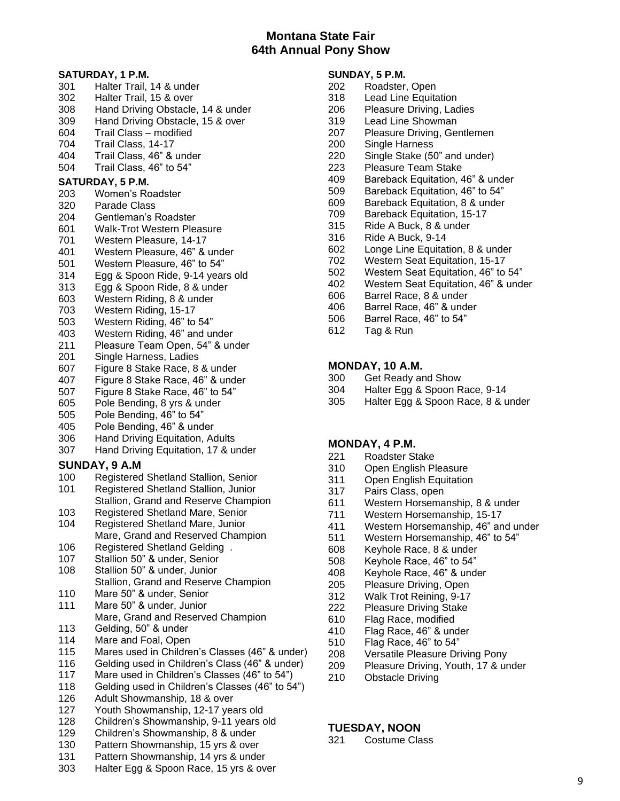## **Montana State Fair 64th Annual Pony Show**

#### **SATURDAY, 1 P.M.** Halter Trail, 14 & under Halter Trail, 15 & over Hand Driving Obstacle, 14 & under Hand Driving Obstacle, 15 & over Trail Class – modified Trail Class, 14-17 Trail Class, 46" & under Trail Class, 46" to 54" **SATURDAY, 5 P.M.**  Women's Roadster Parade Class Gentleman's Roadster Walk-Trot Western Pleasure Western Pleasure, 14-17 Western Pleasure, 46" & under Western Pleasure, 46" to 54" 314 Egg & Spoon Ride, 9-14 years old Egg & Spoon Ride, 8 & under Western Riding, 8 & under Western Riding, 15-17 Western Riding, 46" to 54" Western Riding, 46" and under Pleasure Team Open, 54" & under Single Harness, Ladies Figure 8 Stake Race, 8 & under Figure 8 Stake Race, 46" & under Figure 8 Stake Race, 46" to 54" Pole Bending, 8 yrs & under Pole Bending, 46" to 54" Pole Bending, 46" & under Hand Driving Equitation, Adults Hand Driving Equitation, 17 & under **SUNDAY, 9 A.M**  Registered Shetland Stallion, Senior Registered Shetland Stallion, Junior Stallion, Grand and Reserve Champion Registered Shetland Mare, Senior Registered Shetland Mare, Junior Mare, Grand and Reserved Champion Registered Shetland Gelding . Stallion 50" & under, Senior Stallion 50" & under, Junior Stallion, Grand and Reserve Champion Mare 50" & under, Senior Mare 50" & under, Junior Mare, Grand and Reserved Champion Gelding, 50" & under

- Mare and Foal, Open
- Mares used in Children's Classes (46" & under)
- Gelding used in Children's Class (46" & under)
- Mare used in Children's Classes (46" to 54")
- Gelding used in Children's Classes (46" to 54")
- Adult Showmanship, 18 & over
- Youth Showmanship, 12-17 years old
- Children's Showmanship, 9-11 years old
- Children's Showmanship, 8 & under
- Pattern Showmanship, 15 yrs & over
- 131 Pattern Showmanship, 14 yrs & under<br>303 Halter Egg & Spoon Race, 15 yrs & ov
- Halter Egg & Spoon Race, 15 yrs & over

## **SUNDAY, 5 P.M.**

- Roadster, Open
- Lead Line Equitation
- Pleasure Driving, Ladies
- Lead Line Showman
- Pleasure Driving, Gentlemen
- Single Harness
- Single Stake (50" and under)
- Pleasure Team Stake
- Bareback Equitation, 46" & under
- Bareback Equitation, 46" to 54"
- Bareback Equitation, 8 & under
- Bareback Equitation, 15-17
- Ride A Buck, 8 & under
- Ride A Buck, 9-14
- Longe Line Equitation, 8 & under
- Western Seat Equitation, 15-17
- Western Seat Equitation, 46" to 54"
- Western Seat Equitation, 46" & under
- Barrel Race, 8 & under
- Barrel Race, 46" & under
- Barrel Race, 46" to 54"
- Tag & Run

#### **MONDAY, 10 A.M.**

- Get Ready and Show
- Halter Egg & Spoon Race, 9-14
- Halter Egg & Spoon Race, 8 & under

#### **MONDAY, 4 P.M.**

- Roadster Stake
- Open English Pleasure
- Open English Equitation
- Pairs Class, open
- Western Horsemanship, 8 & under
- Western Horsemanship, 15-17
- Western Horsemanship, 46" and under
- Western Horsemanship, 46" to 54"
- Keyhole Race, 8 & under
- Keyhole Race, 46" to 54"
- Keyhole Race, 46" & under
- Pleasure Driving, Open
- 312 Walk Trot Reining, 9-17<br>222 Pleasure Driving Stake
- Pleasure Driving Stake
- Flag Race, modified
- Flag Race, 46" & under
- Flag Race, 46" to 54"
- Versatile Pleasure Driving Pony
- 209 Pleasure Driving, Youth, 17 & under
- Obstacle Driving

#### **TUESDAY, NOON**

Costume Class